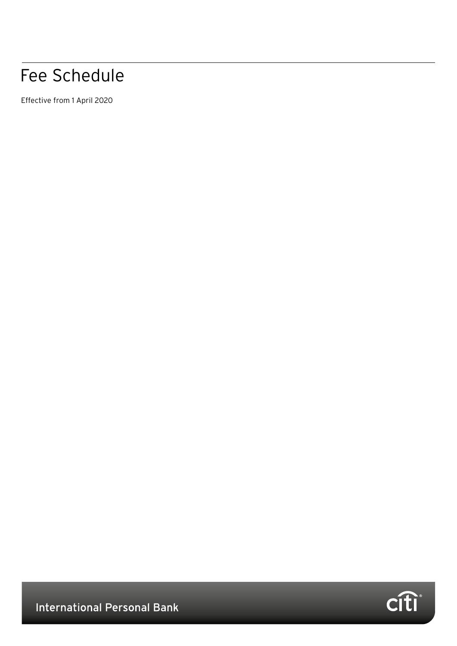# Fee Schedule

Effective from 1 April 2020



**International Personal Bank**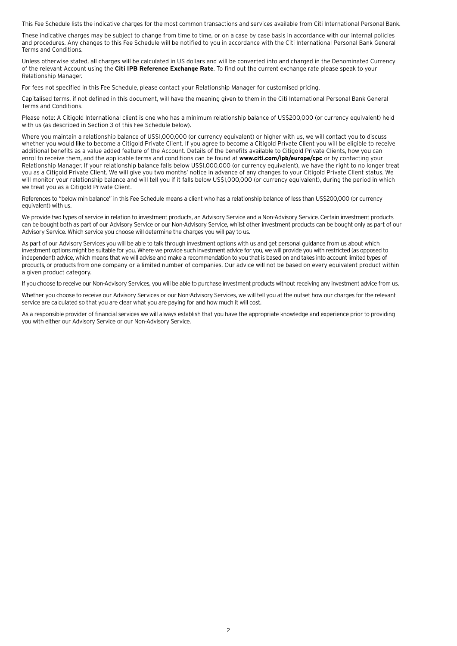This Fee Schedule lists the indicative charges for the most common transactions and services available from Citi International Personal Bank.

These indicative charges may be subject to change from time to time, or on a case by case basis in accordance with our internal policies and procedures. Any changes to this Fee Schedule will be notified to you in accordance with the Citi International Personal Bank General Terms and Conditions.

Unless otherwise stated, all charges will be calculated in US dollars and will be converted into and charged in the Denominated Currency of the relevant Account using the **Citi IPB Reference Exchange Rate**. To find out the current exchange rate please speak to your Relationship Manager.

For fees not specified in this Fee Schedule, please contact your Relationship Manager for customised pricing.

Capitalised terms, if not defined in this document, will have the meaning given to them in the Citi International Personal Bank General Terms and Conditions.

Please note: A Citigold International client is one who has a minimum relationship balance of US\$200,000 (or currency equivalent) held with us (as described in Section 3 of this Fee Schedule below).

Where you maintain a relationship balance of US\$1,000,000 (or currency equivalent) or higher with us, we will contact you to discuss whether you would like to become a Citigold Private Client. If you agree to become a Citigold Private Client you will be eligible to receive additional benefits as a value added feature of the Account. Details of the benefits available to Citigold Private Clients, how you can enrol to receive them, and the applicable terms and conditions can be found at **www.citi.com/ipb/europe/cpc** or by contacting your Relationship Manager. If your relationship balance falls below US\$1,000,000 (or currency equivalent), we have the right to no longer treat you as a Citigold Private Client. We will give you two months' notice in advance of any changes to your Citigold Private Client status. We will monitor your relationship balance and will tell you if it falls below US\$1,000,000 (or currency equivalent), during the period in which we treat you as a Citigold Private Client.

References to "below min balance" in this Fee Schedule means a client who has a relationship balance of less than US\$200,000 (or currency equivalent) with us.

We provide two types of service in relation to investment products, an Advisory Service and a Non-Advisory Service. Certain investment products can be bought both as part of our Advisory Service or our Non-Advisory Service, whilst other investment products can be bought only as part of our Advisory Service. Which service you choose will determine the charges you will pay to us.

As part of our Advisory Services you will be able to talk through investment options with us and get personal guidance from us about which investment options might be suitable for you. Where we provide such investment advice for you, we will provide you with restricted (as opposed to independent) advice, which means that we will advise and make a recommendation to you that is based on and takes into account limited types of products, or products from one company or a limited number of companies. Our advice will not be based on every equivalent product within a given product category.

If you choose to receive our Non-Advisory Services, you will be able to purchase investment products without receiving any investment advice from us.

Whether you choose to receive our Advisory Services or our Non-Advisory Services, we will tell you at the outset how our charges for the relevant service are calculated so that you are clear what you are paying for and how much it will cost.

As a responsible provider of financial services we will always establish that you have the appropriate knowledge and experience prior to providing you with either our Advisory Service or our Non-Advisory Service.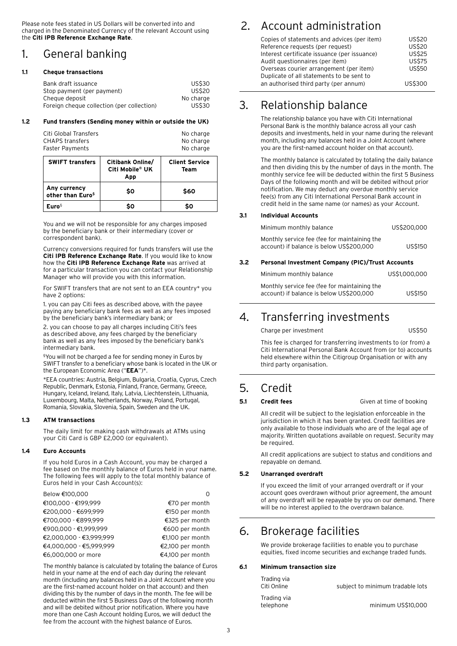Please note fees stated in US Dollars will be converted into and charged in the Denominated Currency of the relevant Account using the **Citi IPB Reference Exchange Rate**.

# 1. General banking

#### **1.1 Cheque transactions**

| Bank draft issuance                        | US\$30        |
|--------------------------------------------|---------------|
| Stop payment (per payment)                 | <b>US\$20</b> |
| Cheque deposit                             | No charge     |
| Foreign cheque collection (per collection) | <b>US\$30</b> |

#### **1.2 Fund transfers (Sending money within or outside the UK)**

| Citi Global Transfers | No charge |
|-----------------------|-----------|
| CHAPS transfers       | No charge |
| Faster Payments       | No charge |

| <b>SWIFT transfers</b>                        | Citibank Online/<br>Citi Mobile® UK<br>App | <b>Client Service</b><br>Team |
|-----------------------------------------------|--------------------------------------------|-------------------------------|
| Any currency<br>other than Euro <sup>\$</sup> | \$0                                        | \$60                          |
| Euro <sup>§</sup>                             | Ś٥                                         | Ś٥                            |

 You and we will not be responsible for any charges imposed by the beneficiary bank or their intermediary (cover or correspondent bank).

 Currency conversions required for funds transfers will use the **Citi IPB Reference Exchange Rate**. If you would like to know how the **Citi IPB Reference Exchange Rate** was arrived at for a particular transaction you can contact your Relationship Manager who will provide you with this information.

For SWIFT transfers that are not sent to an EEA country\* you have 2 options:

 1. you can pay Citi fees as described above, with the payee paying any beneficiary bank fees as well as any fees imposed by the beneficiary bank's intermediary bank; or

 2. you can choose to pay all charges including Citi's fees as described above, any fees charged by the beneficiary bank as well as any fees imposed by the beneficiary bank's intermediary bank.

§You will not be charged a fee for sending money in Euros by SWIFT transfer to a beneficiary whose bank is located in the UK or the European Economic Area ("**EEA**")\*.

 \*EEA countries: Austria, Belgium, Bulgaria, Croatia, Cyprus, Czech Republic, Denmark, Estonia, Finland, France, Germany, Greece, Hungary, Iceland, Ireland, Italy, Latvia, Liechtenstein, Lithuania, Luxembourg, Malta, Netherlands, Norway, Poland, Portugal, Romania, Slovakia, Slovenia, Spain, Sweden and the UK.

#### **1.3 ATM transactions**

 The daily limit for making cash withdrawals at ATMs using your Citi Card is GBP £2,000 (or equivalent).

#### **1.4 Euro Accounts**

 If you hold Euros in a Cash Account, you may be charged a fee based on the monthly balance of Euros held in your name. The following fees will apply to the total monthly balance of Euros held in your Cash Account(s):

| Below €100,000          |                  |
|-------------------------|------------------|
| €100,000 - €199,999     | €70 per month    |
| €200,000 - €699,999     | €150 per month   |
| €700,000 - €899,999     | €325 per month   |
| €900,000 - €1,999,999   | €600 per month   |
| €2,000,000 - €3,999,999 | €1,100 per month |
| €4,000,000 - €5,999,999 | €2,100 per month |
| €6,000,000 or more      | €4,100 per month |

 The monthly balance is calculated by totaling the balance of Euros held in your name at the end of each day during the relevant month (including any balances held in a Joint Account where you are the first-named account holder on that account) and then dividing this by the number of days in the month. The fee will be deducted within the first 5 Business Days of the following month and will be debited without prior notification. Where you have more than one Cash Account holding Euros, we will deduct the fee from the account with the highest balance of Euros.

# 2. Account administration

| Copies of statements and advices (per item)                                        | <b>US\$20</b> |
|------------------------------------------------------------------------------------|---------------|
| Reference requests (per request)                                                   | <b>US\$20</b> |
| Interest certificate issuance (per issuance)                                       | <b>US\$25</b> |
| Audit questionnaires (per item)                                                    | <b>US\$75</b> |
| Overseas courier arrangement (per item)                                            | <b>US\$50</b> |
| Duplicate of all statements to be sent to<br>an authorised third party (per annum) | US\$300       |

# 3. Relationship balance

 The relationship balance you have with Citi International Personal Bank is the monthly balance across all your cash deposits and investments, held in your name during the relevant month, including any balances held in a Joint Account (where you are the first-named account holder on that account).

 The monthly balance is calculated by totaling the daily balance and then dividing this by the number of days in the month. The monthly service fee will be deducted within the first 5 Business Days of the following month and will be debited without prior notification. We may deduct any overdue monthly service fee(s) from any Citi International Personal Bank account in credit held in the same name (or names) as your Account.

#### **3.1 Individual Accounts**

|     | Minimum monthly balance                                                                  | US\$200,000    |
|-----|------------------------------------------------------------------------------------------|----------------|
|     | Monthly service fee (fee for maintaining the<br>account) if balance is below US\$200,000 | <b>US\$150</b> |
| 3.2 | Personal Investment Company (PIC)/Trust Accounts                                         |                |
|     | Minimum monthly balance                                                                  | US\$1,000,000  |
|     | Monthly service fee (fee for maintaining the<br>account) if balance is below US\$200,000 | US\$150        |

# 4. Transferring investments

Charge per investment US\$50

 This fee is charged for transferring investments to (or from) a Citi International Personal Bank Account from (or to) accounts held elsewhere within the Citigroup Organisation or with any third party organisation.

### 5. Credit

#### **5.1 Credit fees Given at time of booking**

 All credit will be subject to the legislation enforceable in the jurisdiction in which it has been granted. Credit facilities are only available to those individuals who are of the legal age of majority. Written quotations available on request. Security may be required.

 All credit applications are subject to status and conditions and repayable on demand.

#### **5.2 Unarranged overdraft**

 If you exceed the limit of your arranged overdraft or if your account goes overdrawn without prior agreement, the amount of any overdraft will be repayable by you on our demand. There will be no interest applied to the overdrawn balance.

### 6. Brokerage facilities

 We provide brokerage facilities to enable you to purchase equities, fixed income securities and exchange traded funds.

#### **6.1 Minimum transaction size**

Trading via

| Trading Via<br>Citi Online | subject to minimum tradable lots |
|----------------------------|----------------------------------|
| Trading via<br>telephone   | minimum US\$10,000               |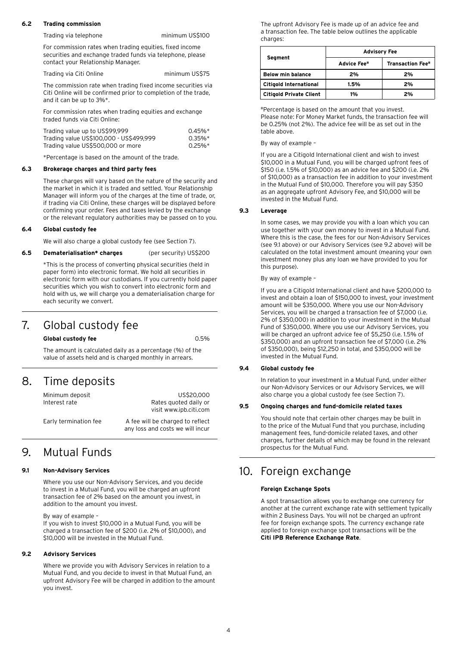#### **6.2 Trading commission**

Trading via telephone minimum US\$100

 For commission rates when trading equities, fixed income securities and exchange traded funds via telephone, please contact your Relationship Manager.

Trading via Citi Online minimum US\$75

 The commission rate when trading fixed income securities via Citi Online will be confirmed prior to completion of the trade, and it can be up to 3%\*.

 For commission rates when trading equities and exchange traded funds via Citi Online:

| Trading value up to US\$99,999          | $0.45\%$ <sup>*</sup> |
|-----------------------------------------|-----------------------|
| Trading value US\$100,000 - US\$499,999 | $0.35\%$ <sup>*</sup> |
| Trading value US\$500,000 or more       | $0.25\%$ <sup>*</sup> |

\*Percentage is based on the amount of the trade.

#### **6.3 Brokerage charges and third party fees**

 These charges will vary based on the nature of the security and the market in which it is traded and settled. Your Relationship Manager will inform you of the charges at the time of trade, or, if trading via Citi Online, these charges will be displayed before confirming your order. Fees and taxes levied by the exchange or the relevant regulatory authorities may be passed on to you.

#### **6.4 Global custody fee**

We will also charge a global custody fee (see Section 7).

#### **6.5 Dematerialisation\* charges** (per security) US\$200

 \*This is the process of converting physical securities (held in paper form) into electronic format. We hold all securities in electronic form with our custodians. If you currently hold paper securities which you wish to convert into electronic form and hold with us, we will charge you a dematerialisation charge for each security we convert.

### 7. Global custody fee

#### **Global custody fee** 0.5%

 The amount is calculated daily as a percentage (%) of the value of assets held and is charged monthly in arrears.

### 8. Time deposits

Minimum deposit US\$20,000 Interest rate **Rates** quoted daily or visit www.ipb.citi.com

Early termination fee A fee will be charged to reflect any loss and costs we will incur

### 9. Mutual Funds

#### **9.1 Non-Advisory Services**

 Where you use our Non-Advisory Services, and you decide to invest in a Mutual Fund, you will be charged an upfront transaction fee of 2% based on the amount you invest, in addition to the amount you invest.

By way of example –

If you wish to invest \$10,000 in a Mutual Fund, you will be charged a transaction fee of \$200 (i.e. 2% of \$10,000), and \$10,000 will be invested in the Mutual Fund.

#### **9.2 Advisory Services**

 Where we provide you with Advisory Services in relation to a Mutual Fund, and you decide to invest in that Mutual Fund, an upfront Advisory Fee will be charged in addition to the amount you invest.

 The upfront Advisory Fee is made up of an advice fee and a transaction fee. The table below outlines the applicable charges:

|                                | <b>Advisory Fee</b>     |                          |
|--------------------------------|-------------------------|--------------------------|
| Segment                        | Advice Fee <sup>#</sup> | <b>Transaction Fee</b> # |
| <b>Below min balance</b>       | 2%                      | 2%                       |
| <b>Citigold International</b>  | 1.5%                    | 2%                       |
| <b>Citigold Private Client</b> | 1%                      | 2%                       |

 #Percentage is based on the amount that you invest. Please note: For Money Market funds, the transaction fee will be 0.25% (not 2%). The advice fee will be as set out in the table above.

#### By way of example –

 If you are a Citigold International client and wish to invest \$10,000 in a Mutual Fund, you will be charged upfront fees of \$150 (i.e. 1.5% of \$10,000) as an advice fee and \$200 (i.e. 2% of \$10,000) as a transaction fee in addition to your investment in the Mutual Fund of \$10,000. Therefore you will pay \$350 as an aggregate upfront Advisory Fee, and \$10,000 will be invested in the Mutual Fund.

#### **9.3 Leverage**

 In some cases, we may provide you with a loan which you can use together with your own money to invest in a Mutual Fund. Where this is the case, the fees for our Non-Advisory Services (see 9.1 above) or our Advisory Services (see 9.2 above) will be calculated on the total investment amount (meaning your own investment money plus any loan we have provided to you for this purpose).

By way of example –

 If you are a Citigold International client and have \$200,000 to invest and obtain a loan of \$150,000 to invest, your investment amount will be \$350,000. Where you use our Non-Advisory Services, you will be charged a transaction fee of \$7,000 (i.e. 2% of \$350,000) in addition to your investment in the Mutual Fund of \$350,000. Where you use our Advisory Services, you will be charged an upfront advice fee of \$5,250 (i.e. 1.5% of \$350,000) and an upfront transaction fee of \$7,000 (i.e. 2% of \$350,000), being \$12,250 in total, and \$350,000 will be invested in the Mutual Fund.

#### **9.4 Global custody fee**

 In relation to your investment in a Mutual Fund, under either our Non-Advisory Services or our Advisory Services, we will also charge you a global custody fee (see Section 7).

#### **9.5 Ongoing charges and fund-domicile related taxes**

 You should note that certain other charges may be built in to the price of the Mutual Fund that you purchase, including management fees, fund-domicile related taxes, and other charges, further details of which may be found in the relevant prospectus for the Mutual Fund.

# 10. Foreign exchange

#### **Foreign Exchange Spots**

A spot transaction allows you to exchange one currency for another at the current exchange rate with settlement typically within 2 Business Days. You will not be charged an upfront fee for foreign exchange spots. The currency exchange rate applied to foreign exchange spot transactions will be the **Citi IPB Reference Exchange Rate**.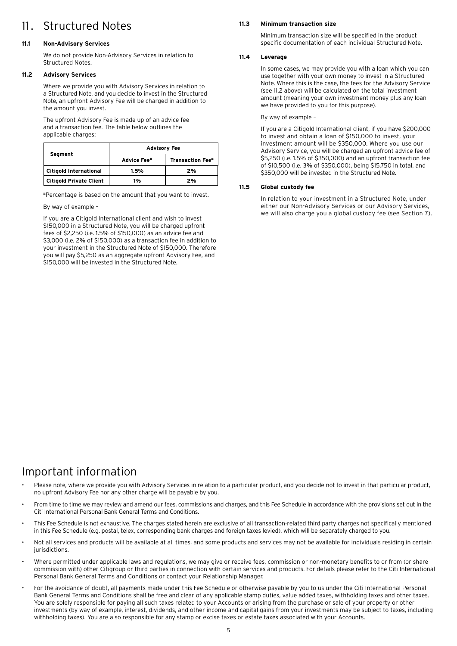# 11 . Structured Notes

#### **11.1 Non-Advisory Services**

 We do not provide Non-Advisory Services in relation to Structured Notes.

#### **11.2 Advisory Services**

Where we provide you with Advisory Services in relation to a Structured Note, and you decide to invest in the Structured Note, an upfront Advisory Fee will be charged in addition to the amount you invest.

 The upfront Advisory Fee is made up of an advice fee and a transaction fee. The table below outlines the applicable charges:

| Segment                 | <b>Advisory Fee</b>     |                          |
|-------------------------|-------------------------|--------------------------|
|                         | Advice Fee <sup>#</sup> | <b>Transaction Fee</b> # |
| Citigold International  | 1.5%                    | 2%                       |
| Citigold Private Client | 1%                      | 2%                       |

#Percentage is based on the amount that you want to invest.

By way of example –

 If you are a Citigold International client and wish to invest \$150,000 in a Structured Note, you will be charged upfront fees of \$2,250 (i.e. 1.5% of \$150,000) as an advice fee and \$3,000 (i.e. 2% of \$150,000) as a transaction fee in addition to your investment in the Structured Note of \$150,000. Therefore you will pay \$5,250 as an aggregate upfront Advisory Fee, and \$150,000 will be invested in the Structured Note.

#### **11.3 Minimum transaction size**

Minimum transaction size will be specified in the product specific documentation of each individual Structured Note.

#### **11.4 Leverage**

 In some cases, we may provide you with a loan which you can use together with your own money to invest in a Structured Note. Where this is the case, the fees for the Advisory Service (see 11.2 above) will be calculated on the total investment amount (meaning your own investment money plus any loan we have provided to you for this purpose).

By way of example –

 If you are a Citigold International client, if you have \$200,000 to invest and obtain a loan of \$150,000 to invest, your investment amount will be \$350,000. Where you use our Advisory Service, you will be charged an upfront advice fee of \$5,250 (i.e. 1.5% of \$350,000) and an upfront transaction fee of \$10,500 (i.e. 3% of \$350,000), being \$15,750 in total, and \$350,000 will be invested in the Structured Note.

#### **11.5 Global custody fee**

In relation to your investment in a Structured Note, under either our Non-Advisory Services or our Advisory Services, we will also charge you a global custody fee (see Section 7).

# Important information

- Please note, where we provide you with Advisory Services in relation to a particular product, and you decide not to invest in that particular product, no upfront Advisory Fee nor any other charge will be payable by you.
- From time to time we may review and amend our fees, commissions and charges, and this Fee Schedule in accordance with the provisions set out in the Citi International Personal Bank General Terms and Conditions.
- This Fee Schedule is not exhaustive. The charges stated herein are exclusive of all transaction-related third party charges not specifically mentioned in this Fee Schedule (e.g. postal, telex, corresponding bank charges and foreign taxes levied), which will be separately charged to you.
- Not all services and products will be available at all times, and some products and services may not be available for individuals residing in certain jurisdictions.
- Where permitted under applicable laws and regulations, we may give or receive fees, commission or non-monetary benefits to or from (or share commission with) other Citigroup or third parties in connection with certain services and products. For details please refer to the Citi International Personal Bank General Terms and Conditions or contact your Relationship Manager.
- For the avoidance of doubt, all payments made under this Fee Schedule or otherwise payable by you to us under the Citi International Personal Bank General Terms and Conditions shall be free and clear of any applicable stamp duties, value added taxes, withholding taxes and other taxes. You are solely responsible for paying all such taxes related to your Accounts or arising from the purchase or sale of your property or other investments (by way of example, interest, dividends, and other income and capital gains from your investments may be subject to taxes, including withholding taxes). You are also responsible for any stamp or excise taxes or estate taxes associated with your Accounts.